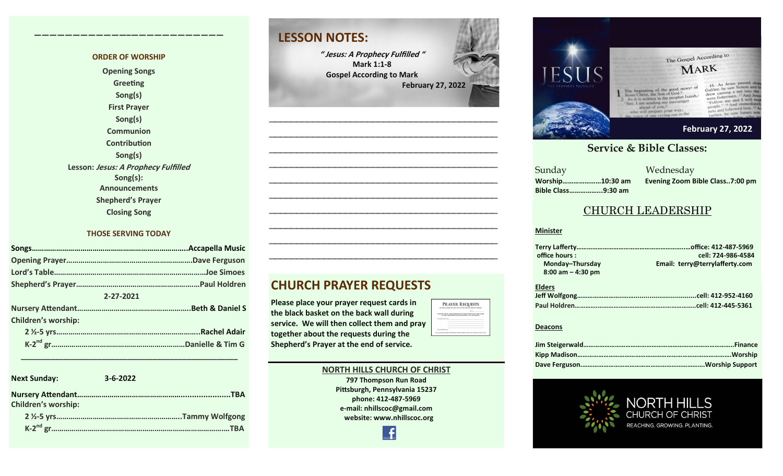#### **ORDER OF WORSHIP**

**————————————–————————————**

**Opening Songs Greeting Song(s) First Prayer Song(s) Communion Contribution Song(s) Lesson: Jesus: A Prophecy Fulfilled Song(s): Announcements Shepherd's Prayer Closing Song**

#### **THOSE SERVING TODAY**

| 2-27-2021                  |  |
|----------------------------|--|
|                            |  |
| <b>Children's worship:</b> |  |
|                            |  |
|                            |  |

| <b>Next Sunday:</b>        | $3 - 6 - 2022$ |
|----------------------------|----------------|
| <b>Children's worship:</b> |                |
|                            |                |
|                            | TBA            |

 **\_\_\_\_\_\_\_\_\_\_\_\_\_\_\_\_\_\_\_\_\_\_\_\_\_\_\_\_\_\_\_\_\_\_\_\_\_\_\_\_\_\_\_\_\_\_\_\_\_\_\_**

### **LESSON NOTES:**

**" Jesus: A Prophecy Fulfilled " Mark 1:1-8 Gospel According to Mark February 27, 2022**

**—————————————————————————————————————————— —————————————————————————————————————————— —————————————————————————————————————————— —————————————————————————————————————————— —————————————————————————————————————————— —————————————————————————————————————————— —————————————————————————————————————————— —————————————————————————————————————————— —————————————————————————————————————————— ——————————————————————————————————————————**

**CHURCH PRAYER REQUESTS**

**Please place your prayer request cards in the black basket on the back wall during service. We will then collect them and pray together about the requests during the Shepherd's Prayer at the end of service.** 

#### **NORTH HILLS CHURCH OF CHRIST 797 Thompson Run Road Pittsburgh, Pennsylvania 15237 phone: 412-487-5969 e-mail: nhillscoc@gmail.com website: www.nhillscoc.org**  £

PRAYER REQUESTS 



#### **September 24, 2017 October 8, 2017 October 15, 2017 October 8, 2017 October 22, 2017 October 29, 2017 November 5, 2017 November 12, 2017 November 26, 2017 December 10, 2017 December 24, 2017 January 7, 2017 January 7, 2017 February 21, 2021**

a Mednesday<br>Sunday Mednesday **Sunday Bible Class……………...9:30 am**

**Worship…………………10:30 am Evening Zoom Bible Class..7:00 pm**

### CHURCH LEADERSHIP

#### **Minister**

| office hours :       | cell: 724-986-4584             |  |
|----------------------|--------------------------------|--|
| Monday-Thursday      | Email: terry@terrylafferty.com |  |
| $8:00$ am $-4:30$ pm |                                |  |

| <b>Elders</b> |  |
|---------------|--|
|               |  |
|               |  |

#### **Deacons**